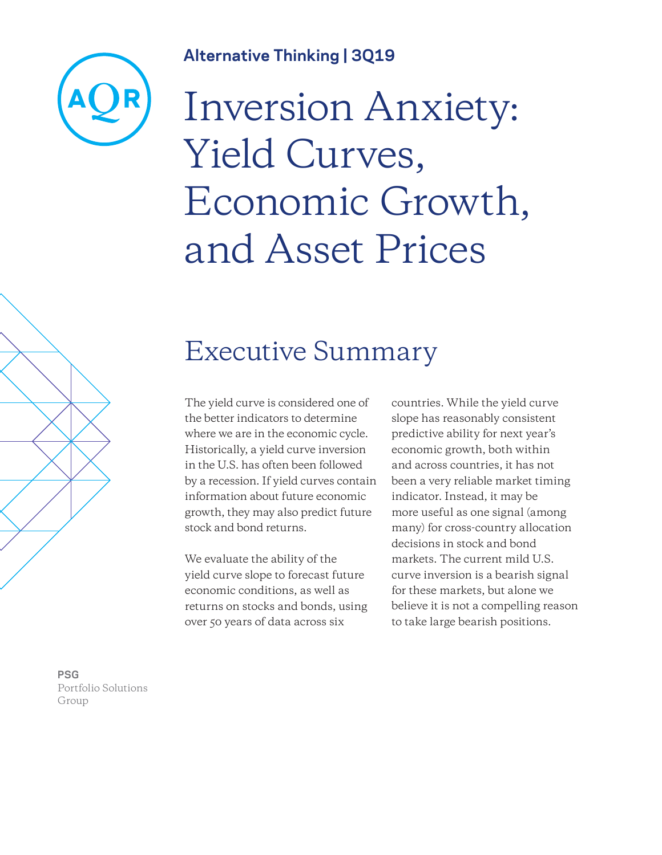# **Alternative Thinking | 3Q19**



# Inversion Anxiety: Yield Curves, Economic Growth, and Asset Prices

# Executive Summary

The yield curve is considered one of the better indicators to determine where we are in the economic cycle. Historically, a yield curve inversion in the U.S. has often been followed by a recession. If yield curves contain information about future economic growth, they may also predict future stock and bond returns.

We evaluate the ability of the yield curve slope to forecast future economic conditions, as well as returns on stocks and bonds, using over 50 years of data across six

countries. While the yield curve slope has reasonably consistent predictive ability for next year's economic growth, both within and across countries, it has not been a very reliable market timing indicator. Instead, it may be more useful as one signal (among many) for cross-country allocation decisions in stock and bond markets. The current mild U.S. curve inversion is a bearish signal for these markets, but alone we believe it is not a compelling reason to take large bearish positions.

**PSG** Portfolio Solutions Group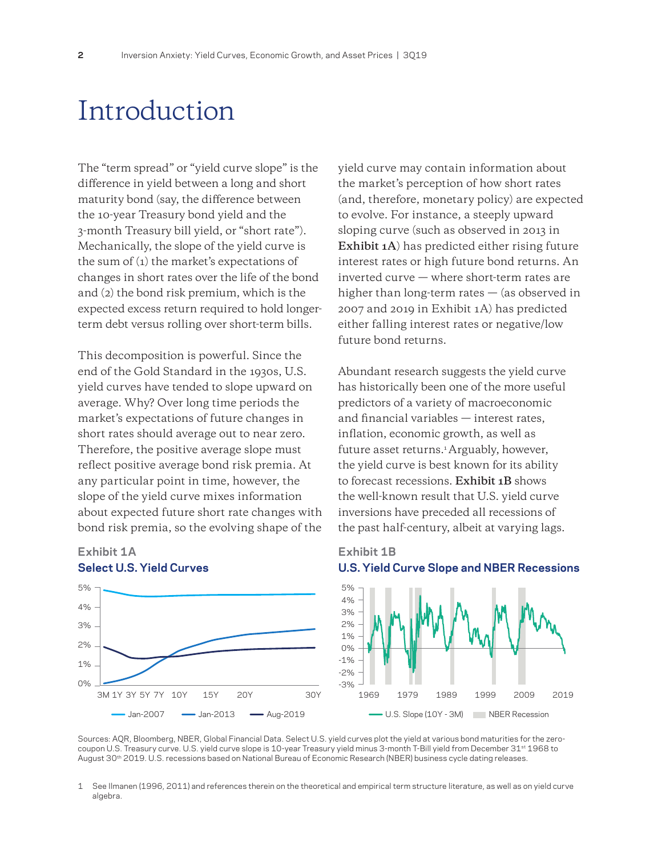# Introduction

The "term spread" or "yield curve slope" is the difference in yield between a long and short maturity bond (say, the difference between the 10-year Treasury bond yield and the 3-month Treasury bill yield, or "short rate"). Mechanically, the slope of the yield curve is the sum of (1) the market's expectations of changes in short rates over the life of the bond and (2) the bond risk premium, which is the expected excess return required to hold longerterm debt versus rolling over short-term bills.

This decomposition is powerful. Since the end of the Gold Standard in the 1930s, U.S. yield curves have tended to slope upward on average. Why? Over long time periods the market's expectations of future changes in short rates should average out to near zero. Therefore, the positive average slope must reflect positive average bond risk premia. At any particular point in time, however, the slope of the yield curve mixes information about expected future short rate changes with bond risk premia, so the evolving shape of the



### **Exhibit 1A Select U.S. Yield Curves**

yield curve may contain information about the market's perception of how short rates (and, therefore, monetary policy) are expected to evolve. For instance, a steeply upward sloping curve (such as observed in 2013 in **Exhibit 1A**) has predicted either rising future interest rates or high future bond returns. An inverted curve — where short-term rates are higher than long-term rates  $-$  (as observed in 2007 and 2019 in Exhibit 1A) has predicted either falling interest rates or negative/low future bond returns.

Abundant research suggests the yield curve has historically been one of the more useful predictors of a variety of macroeconomic and financial variables — interest rates, inflation, economic growth, as well as future asset returns.<sup>1</sup> Arguably, however, the yield curve is best known for its ability to forecast recessions. **Exhibit 1B** shows the well-known result that U.S. yield curve inversions have preceded all recessions of the past half-century, albeit at varying lags.

### **Exhibit 1B U.S. Yield Curve Slope and NBER Recessions**



Sources: AQR, Bloomberg, NBER, Global Financial Data. Select U.S. yield curves plot the yield at various bond maturities for the zerocoupon U.S. Treasury curve. U.S. yield curve slope is 10-year Treasury yield minus 3-month T-Bill yield from December 31<sup>st</sup> 1968 to August 30<sup>th</sup> 2019. U.S. recessions based on National Bureau of Economic Research (NBER) business cycle dating releases.

1 See Ilmanen (1996, 2011) and references therein on the theoretical and empirical term structure literature, as well as on yield curve algebra.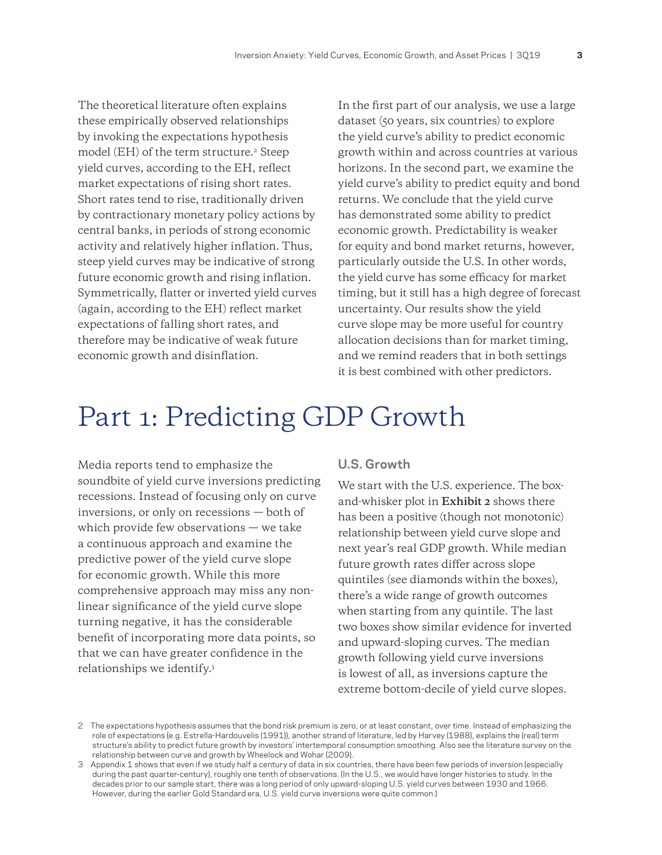The theoretical literature often explains these empirically observed relationships by invoking the expectations hypothesis model (EH) of the term structure.2 Steep yield curves, according to the EH, reflect market expectations of rising short rates. Short rates tend to rise, traditionally driven by contractionary monetary policy actions by central banks, in periods of strong economic activity and relatively higher inflation. Thus, steep yield curves may be indicative of strong future economic growth and rising inflation. Symmetrically, flatter or inverted yield curves (again, according to the EH) reflect market expectations of falling short rates, and therefore may be indicative of weak future economic growth and disinflation.

In the first part of our analysis, we use a large dataset (50 years, six countries) to explore the yield curve's ability to predict economic growth within and across countries at various horizons. In the second part, we examine the yield curve's ability to predict equity and bond returns. We conclude that the yield curve has demonstrated some ability to predict economic growth. Predictability is weaker for equity and bond market returns, however, particularly outside the U.S. In other words, the yield curve has some efficacy for market timing, but it still has a high degree of forecast uncertainty. Our results show the yield curve slope may be more useful for country allocation decisions than for market timing, and we remind readers that in both settings it is best combined with other predictors.

# Part 1: Predicting GDP Growth

Media reports tend to emphasize the soundbite of yield curve inversions predicting recessions. Instead of focusing only on curve inversions, or only on recessions — both of which provide few observations — we take a continuous approach and examine the predictive power of the yield curve slope for economic growth. While this more comprehensive approach may miss any nonlinear significance of the yield curve slope turning negative, it has the considerable benefit of incorporating more data points, so that we can have greater confidence in the relationships we identify.3

#### **U.S. Growth**

We start with the U.S. experience. The boxand-whisker plot in **Exhibit 2** shows there has been a positive (though not monotonic) relationship between yield curve slope and next year's real GDP growth. While median future growth rates differ across slope quintiles (see diamonds within the boxes), there's a wide range of growth outcomes when starting from any quintile. The last two boxes show similar evidence for inverted and upward-sloping curves. The median growth following yield curve inversions is lowest of all, as inversions capture the extreme bottom-decile of yield curve slopes.

<sup>2</sup> The expectations hypothesis assumes that the bond risk premium is zero, or at least constant, over time. Instead of emphasizing the role of expectations (e.g. Estrella-Hardouvelis (1991)), another strand of literature, led by Harvey (1988), explains the (real) term structure's ability to predict future growth by investors' intertemporal consumption smoothing. Also see the literature survey on the relationship between curve and growth by Wheelock and Wohar (2009).

<sup>3</sup> Appendix 1 shows that even if we study half a century of data in six countries, there have been few periods of inversion (especially during the past quarter-century), roughly one tenth of observations. (In the U.S., we would have longer histories to study. In the decades prior to our sample start, there was a long period of only upward-sloping U.S. yield curves between 1930 and 1966. However, during the earlier Gold Standard era, U.S. yield curve inversions were quite common.)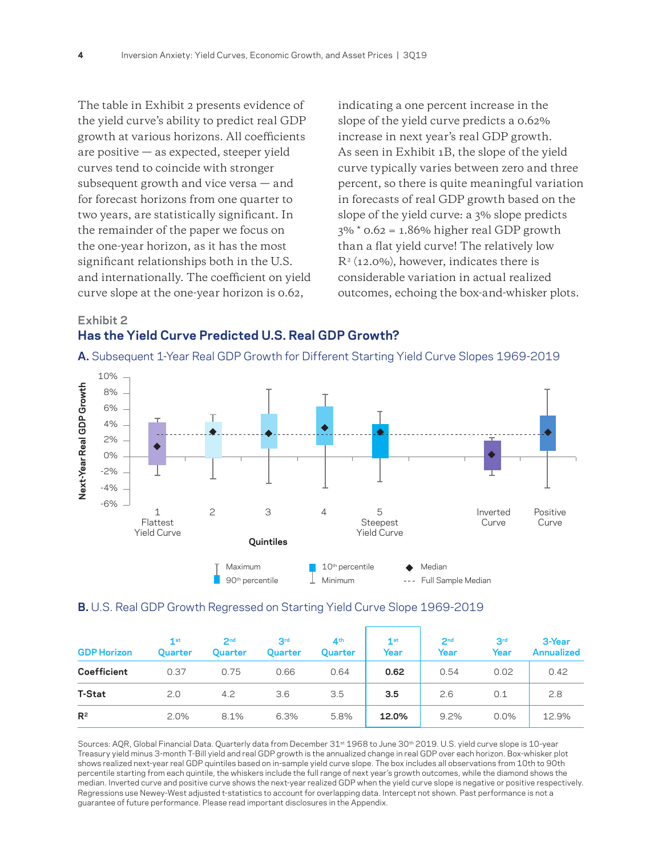The table in Exhibit 2 presents evidence of the yield curve's ability to predict real GDP growth at various horizons. All coefficients are positive — as expected, steeper yield curves tend to coincide with stronger subsequent growth and vice versa — and for forecast horizons from one quarter to two years, are statistically significant. In the remainder of the paper we focus on the one-year horizon, as it has the most significant relationships both in the U.S. and internationally. The coefficient on yield curve slope at the one-year horizon is 0.62,

indicating a one percent increase in the slope of the yield curve predicts a 0.62% increase in next year's real GDP growth. As seen in Exhibit 1B, the slope of the yield curve typically varies between zero and three percent, so there is quite meaningful variation in forecasts of real GDP growth based on the slope of the yield curve: a 3% slope predicts  $3\%$  \* 0.62 = 1.86% higher real GDP growth than a flat yield curve! The relatively low  $R<sup>2</sup>$  (12.0%), however, indicates there is considerable variation in actual realized outcomes, echoing the box-and-whisker plots.

## **Exhibit 2 Has the Yield Curve Predicted U.S. Real GDP Growth?**





#### **B.** U.S. Real GDP Growth Regressed on Starting Yield Curve Slope 1969-2019

| <b>GDP Horizon</b> | 1st<br>Quarter | 2 <sub>nd</sub><br>Quarter | 3 <sup>rd</sup><br>Quarter | 4 <sup>th</sup><br>Quarter | 1 <sup>st</sup><br>Year | 2 <sub>nd</sub><br>Year | 3 <sup>rd</sup><br>Year | 3-Year<br><b>Annualized</b> |
|--------------------|----------------|----------------------------|----------------------------|----------------------------|-------------------------|-------------------------|-------------------------|-----------------------------|
| Coefficient        | 0.37           | 0.75                       | 0.66                       | 0.64                       | 0.62                    | 0.54                    | 0.02                    | 0.42                        |
| <b>T-Stat</b>      | 2.0            | 4.2                        | 3.6                        | 3.5                        | 3.5                     | 2.6                     | 0.1                     | 2.8                         |
| $R^2$              | 2.0%           | 8.1%                       | 6.3%                       | 5.8%                       | 12.0%                   | 9.2%                    | 0.0%                    | 12.9%                       |

Sources: AQR, Global Financial Data. Quarterly data from December 31<sup>st</sup> 1968 to June 30<sup>th</sup> 2019. U.S. yield curve slope is 10-year Treasury yield minus 3-month T-Bill yield and real GDP growth is the annualized change in real GDP over each horizon. Box-whisker plot shows realized next-year real GDP quintiles based on in-sample yield curve slope. The box includes all observations from 10th to 90th percentile starting from each quintile, the whiskers include the full range of next year's growth outcomes, while the diamond shows the median. Inverted curve and positive curve shows the next-year realized GDP when the yield curve slope is negative or positive respectively. Regressions use Newey-West adjusted t-statistics to account for overlapping data. Intercept not shown. Past performance is not a guarantee of future performance. Please read important disclosures in the Appendix.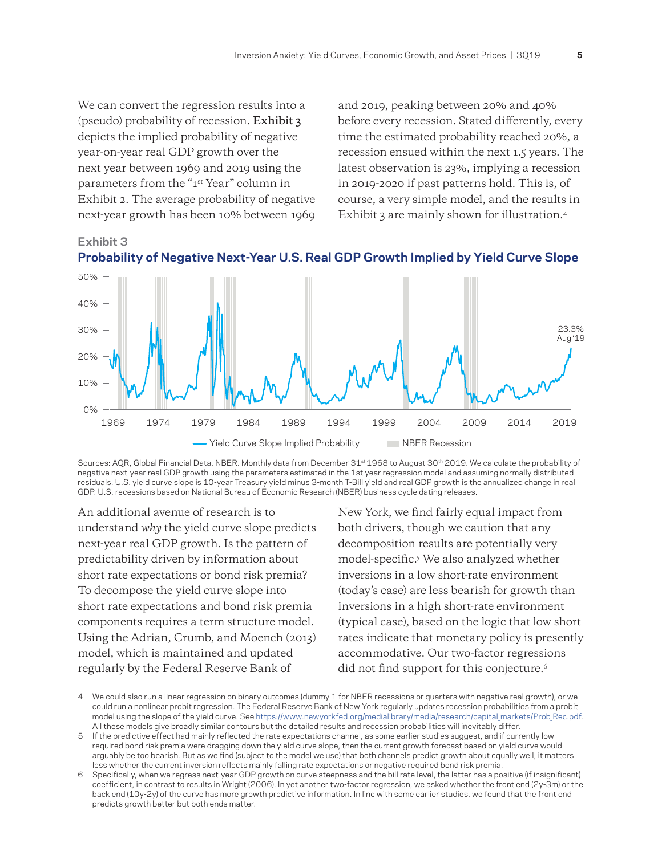We can convert the regression results into a (pseudo) probability of recession. **Exhibit 3** depicts the implied probability of negative year-on-year real GDP growth over the next year between 1969 and 2019 using the parameters from the "1st Year" column in Exhibit 2. The average probability of negative next-year growth has been 10% between 1969 and 2019, peaking between 20% and 40% before every recession. Stated differently, every time the estimated probability reached 20%, a recession ensued within the next 1.5 years. The latest observation is 23%, implying a recession in 2019-2020 if past patterns hold. This is, of course, a very simple model, and the results in Exhibit 3 are mainly shown for illustration.4





Sources: AQR, Global Financial Data, NBER. Monthly data from December 31<sup>st</sup> 1968 to August 30<sup>th</sup> 2019. We calculate the probability of negative next-year real GDP growth using the parameters estimated in the 1st year regression model and assuming normally distributed residuals. U.S. yield curve slope is 10-year Treasury yield minus 3-month T-Bill yield and real GDP growth is the annualized change in real GDP. U.S. recessions based on National Bureau of Economic Research (NBER) business cycle dating releases.

An additional avenue of research is to understand *why* the yield curve slope predicts next-year real GDP growth. Is the pattern of predictability driven by information about short rate expectations or bond risk premia? To decompose the yield curve slope into short rate expectations and bond risk premia components requires a term structure model. Using the Adrian, Crumb, and Moench (2013) model, which is maintained and updated regularly by the Federal Reserve Bank of

New York, we find fairly equal impact from both drivers, though we caution that any decomposition results are potentially very model-specific.5 We also analyzed whether inversions in a low short-rate environment (today's case) are less bearish for growth than inversions in a high short-rate environment (typical case), based on the logic that low short rates indicate that monetary policy is presently accommodative. Our two-factor regressions did not find support for this conjecture.<sup>6</sup>

<sup>4</sup> We could also run a linear regression on binary outcomes (dummy 1 for NBER recessions or quarters with negative real growth), or we could run a nonlinear probit regression. The Federal Reserve Bank of New York regularly updates recession probabilities from a probit model using the slope of the yield curve. See [https://www.newyorkfed.org/medialibrary/media/research/capital\\_markets/Prob\\_Rec.pdf.](https://www.newyorkfed.org/medialibrary/media/research/capital_markets/Prob_Rec.pdf) All these models give broadly similar contours but the detailed results and recession probabilities will inevitably differ.

<sup>5</sup> If the predictive effect had mainly reflected the rate expectations channel, as some earlier studies suggest, and if currently low required bond risk premia were dragging down the yield curve slope, then the current growth forecast based on yield curve would arguably be too bearish. But as we find (subject to the model we use) that both channels predict growth about equally well, it matters less whether the current inversion reflects mainly falling rate expectations or negative required bond risk premia.

<sup>6</sup> Specifically, when we regress next-year GDP growth on curve steepness and the bill rate level, the latter has a positive (if insignificant) coefficient, in contrast to results in Wright (2006). In yet another two-factor regression, we asked whether the front end (2y-3m) or the back end (10y-2y) of the curve has more growth predictive information. In line with some earlier studies, we found that the front end predicts growth better but both ends matter.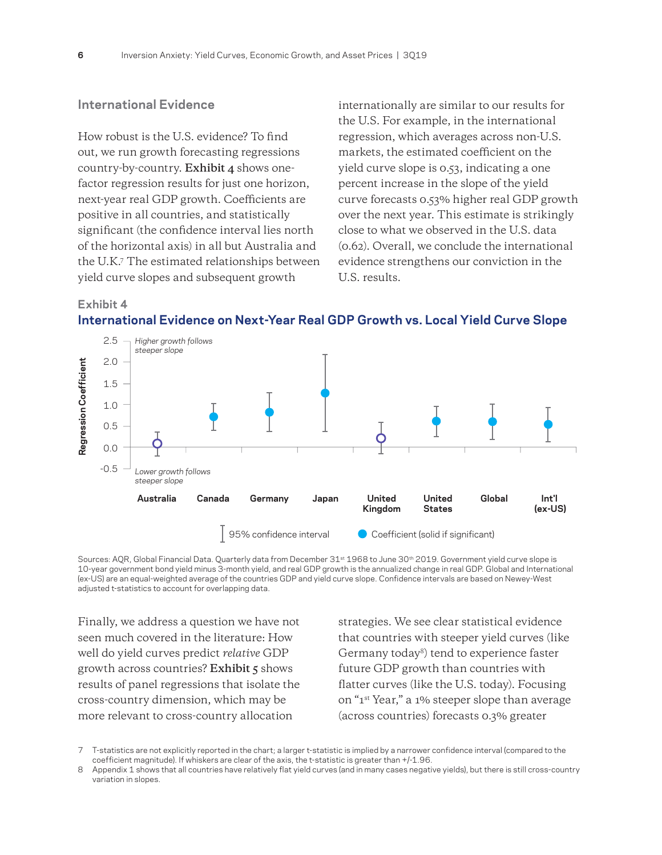### **International Evidence**

How robust is the U.S. evidence? To find out, we run growth forecasting regressions country-by-country. **Exhibit 4** shows onefactor regression results for just one horizon, next-year real GDP growth. Coefficients are positive in all countries, and statistically significant (the confidence interval lies north of the horizontal axis) in all but Australia and the U.K.7 The estimated relationships between yield curve slopes and subsequent growth

internationally are similar to our results for the U.S. For example, in the international regression, which averages across non-U.S. markets, the estimated coefficient on the yield curve slope is 0.53, indicating a one percent increase in the slope of the yield curve forecasts 0.53% higher real GDP growth over the next year. This estimate is strikingly close to what we observed in the U.S. data (0.62). Overall, we conclude the international evidence strengthens our conviction in the U.S. results.

#### **Exhibit 4**







Finally, we address a question we have not seen much covered in the literature: How well do yield curves predict *relative* GDP growth across countries? **Exhibit 5** shows results of panel regressions that isolate the cross-country dimension, which may be more relevant to cross-country allocation

strategies. We see clear statistical evidence that countries with steeper yield curves (like Germany today<sup>8</sup>) tend to experience faster future GDP growth than countries with flatter curves (like the U.S. today). Focusing on "1st Year," a 1% steeper slope than average (across countries) forecasts 0.3% greater

T-statistics are not explicitly reported in the chart; a larger t-statistic is implied by a narrower confidence interval (compared to the coefficient magnitude). If whiskers are clear of the axis, the t-statistic is greater than +/-1.96.

Appendix 1 shows that all countries have relatively flat yield curves (and in many cases negative yields), but there is still cross-country variation in slopes.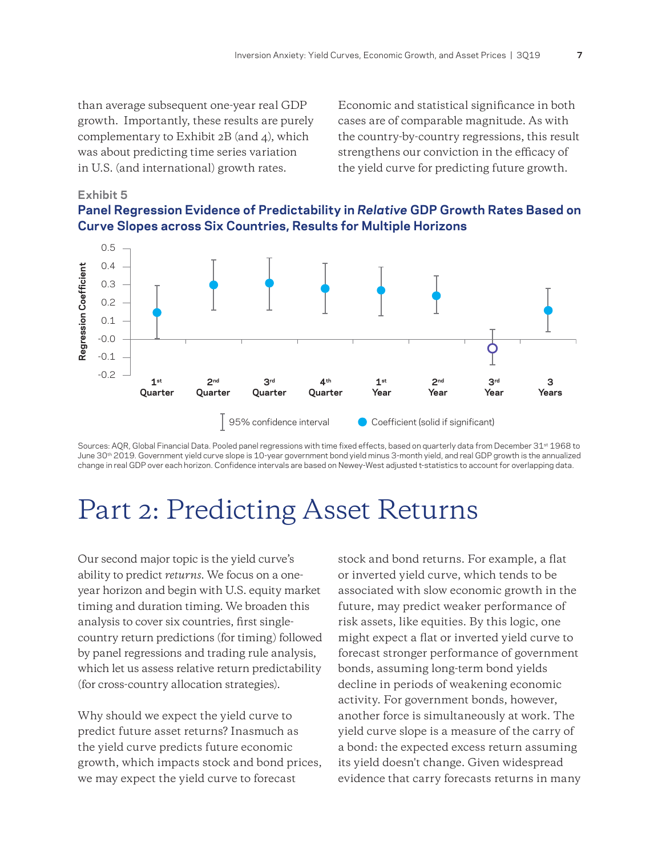than average subsequent one-year real GDP growth. Importantly, these results are purely complementary to Exhibit 2B (and 4), which was about predicting time series variation in U.S. (and international) growth rates.

Economic and statistical significance in both cases are of comparable magnitude. As with the country-by-country regressions, this result strengthens our conviction in the efficacy of the yield curve for predicting future growth.

#### **Exhibit 5**





Sources: AQR, Global Financial Data. Pooled panel regressions with time fixed effects, based on quarterly data from December 31<sup>st</sup> 1968 to June 30<sup>th</sup> 2019. Government yield curve slope is 10-year government bond yield minus 3-month yield, and real GDP growth is the annualized change in real GDP over each horizon. Confidence intervals are based on Newey-West adjusted t-statistics to account for overlapping data.

# Part 2: Predicting Asset Returns

Our second major topic is the yield curve's ability to predict *returns*. We focus on a oneyear horizon and begin with U.S. equity market timing and duration timing. We broaden this analysis to cover six countries, first singlecountry return predictions (for timing) followed by panel regressions and trading rule analysis, which let us assess relative return predictability (for cross-country allocation strategies).

Why should we expect the yield curve to predict future asset returns? Inasmuch as the yield curve predicts future economic growth, which impacts stock and bond prices, we may expect the yield curve to forecast

stock and bond returns. For example, a flat or inverted yield curve, which tends to be associated with slow economic growth in the future, may predict weaker performance of risk assets, like equities. By this logic, one might expect a flat or inverted yield curve to forecast stronger performance of government bonds, assuming long-term bond yields decline in periods of weakening economic activity. For government bonds, however, another force is simultaneously at work. The yield curve slope is a measure of the carry of a bond: the expected excess return assuming its yield doesn't change. Given widespread evidence that carry forecasts returns in many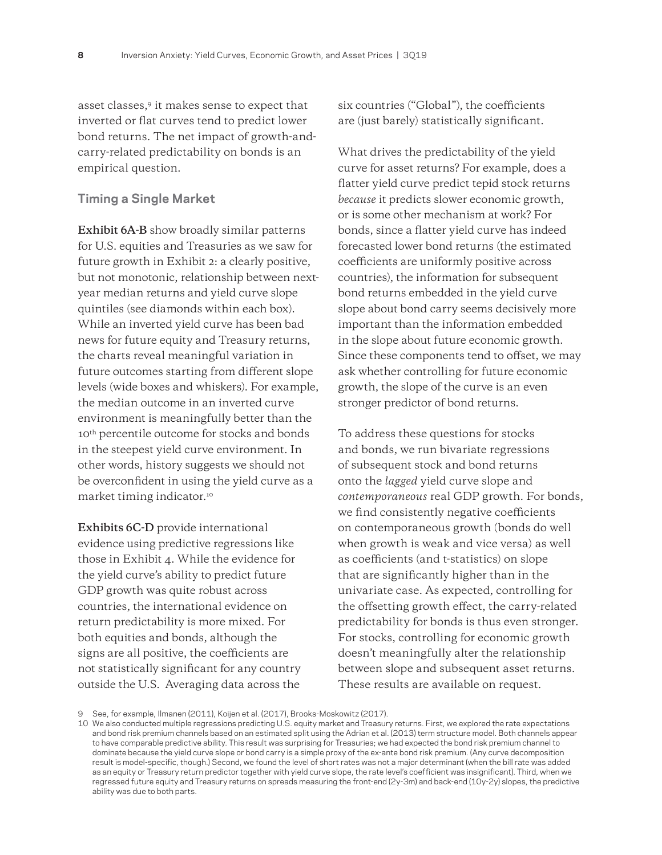asset classes,9 it makes sense to expect that inverted or flat curves tend to predict lower bond returns. The net impact of growth-andcarry-related predictability on bonds is an empirical question.

### **Timing a Single Market**

**Exhibit 6A-B** show broadly similar patterns for U.S. equities and Treasuries as we saw for future growth in Exhibit 2: a clearly positive, but not monotonic, relationship between nextyear median returns and yield curve slope quintiles (see diamonds within each box). While an inverted yield curve has been bad news for future equity and Treasury returns, the charts reveal meaningful variation in future outcomes starting from different slope levels (wide boxes and whiskers). For example, the median outcome in an inverted curve environment is meaningfully better than the 10<sup>th</sup> percentile outcome for stocks and bonds in the steepest yield curve environment. In other words, history suggests we should not be overconfident in using the yield curve as a market timing indicator.10

**Exhibits 6C-D** provide international evidence using predictive regressions like those in Exhibit 4. While the evidence for the yield curve's ability to predict future GDP growth was quite robust across countries, the international evidence on return predictability is more mixed. For both equities and bonds, although the signs are all positive, the coefficients are not statistically significant for any country outside the U.S. Averaging data across the

six countries ("Global"), the coefficients are (just barely) statistically significant.

What drives the predictability of the yield curve for asset returns? For example, does a flatter yield curve predict tepid stock returns *because* it predicts slower economic growth, or is some other mechanism at work? For bonds, since a flatter yield curve has indeed forecasted lower bond returns (the estimated coefficients are uniformly positive across countries), the information for subsequent bond returns embedded in the yield curve slope about bond carry seems decisively more important than the information embedded in the slope about future economic growth. Since these components tend to offset, we may ask whether controlling for future economic growth, the slope of the curve is an even stronger predictor of bond returns.

To address these questions for stocks and bonds, we run bivariate regressions of subsequent stock and bond returns onto the *lagged* yield curve slope and *contemporaneous* real GDP growth. For bonds, we find consistently negative coefficients on contemporaneous growth (bonds do well when growth is weak and vice versa) as well as coefficients (and t-statistics) on slope that are significantly higher than in the univariate case. As expected, controlling for the offsetting growth effect, the carry-related predictability for bonds is thus even stronger. For stocks, controlling for economic growth doesn't meaningfully alter the relationship between slope and subsequent asset returns. These results are available on request.

<sup>9</sup> See, for example, Ilmanen (2011), Koijen et al. (2017), Brooks-Moskowitz (2017).

<sup>10</sup> We also conducted multiple regressions predicting U.S. equity market and Treasury returns. First, we explored the rate expectations and bond risk premium channels based on an estimated split using the Adrian et al. (2013) term structure model. Both channels appear to have comparable predictive ability. This result was surprising for Treasuries; we had expected the bond risk premium channel to dominate because the yield curve slope or bond carry is a simple proxy of the ex-ante bond risk premium. (Any curve decomposition result is model-specific, though.) Second, we found the level of short rates was not a major determinant (when the bill rate was added as an equity or Treasury return predictor together with yield curve slope, the rate level's coefficient was insignificant). Third, when we regressed future equity and Treasury returns on spreads measuring the front-end (2y-3m) and back-end (10y-2y) slopes, the predictive ability was due to both parts.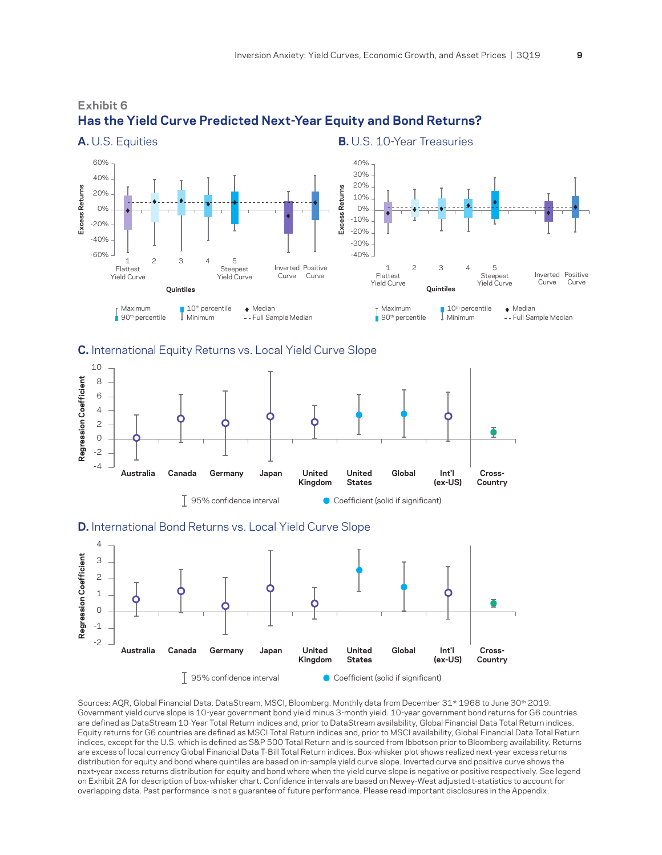

# **Exhibit 6 Has the Yield Curve Predicted Next-Year Equity and Bond Returns?**

#### **C.** International Equity Returns vs. Local Yield Curve Slope



#### **D.** International Bond Returns vs. Local Yield Curve Slope



Sources: AQR, Global Financial Data, DataStream, MSCI, Bloomberg. Monthly data from December 31<sup>st</sup> 1968 to June 30<sup>th</sup> 2019. Government yield curve slope is 10-year government bond yield minus 3-month yield. 10-year government bond returns for G6 countries are defined as DataStream 10-Year Total Return indices and, prior to DataStream availability, Global Financial Data Total Return indices. Equity returns for G6 countries are defined as MSCI Total Return indices and, prior to MSCI availability, Global Financial Data Total Return indices, except for the U.S. which is defined as S&P 500 Total Return and is sourced from Ibbotson prior to Bloomberg availability. Returns are excess of local currency Global Financial Data T-Bill Total Return indices. Box-whisker plot shows realized next-year excess returns distribution for equity and bond where quintiles are based on in-sample yield curve slope. Inverted curve and positive curve shows the next-year excess returns distribution for equity and bond where when the yield curve slope is negative or positive respectively. See legend on Exhibit 2A for description of box-whisker chart. Confidence intervals are based on Newey-West adjusted t-statistics to account for overlapping data. Past performance is not a guarantee of future performance. Please read important disclosures in the Appendix.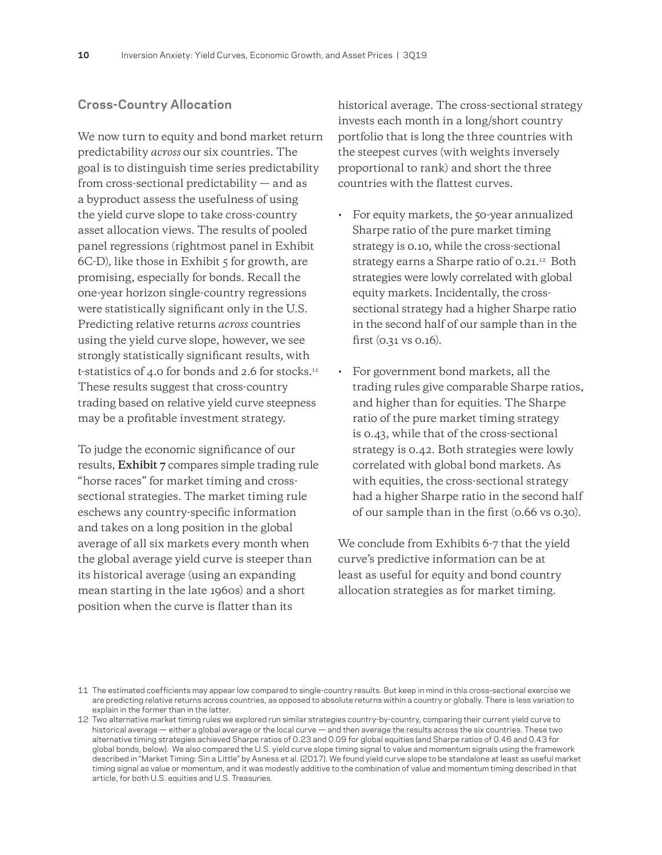### **Cross-Country Allocation**

We now turn to equity and bond market return predictability *across* our six countries. The goal is to distinguish time series predictability from cross-sectional predictability — and as a byproduct assess the usefulness of using the yield curve slope to take cross-country asset allocation views. The results of pooled panel regressions (rightmost panel in Exhibit 6C-D), like those in Exhibit 5 for growth, are promising, especially for bonds. Recall the one-year horizon single-country regressions were statistically significant only in the U.S. Predicting relative returns *across* countries using the yield curve slope, however, we see strongly statistically significant results, with t-statistics of 4.0 for bonds and 2.6 for stocks.<sup>11</sup> These results suggest that cross-country trading based on relative yield curve steepness may be a profitable investment strategy.

To judge the economic significance of our results, **Exhibit 7** compares simple trading rule "horse races" for market timing and crosssectional strategies. The market timing rule eschews any country-specific information and takes on a long position in the global average of all six markets every month when the global average yield curve is steeper than its historical average (using an expanding mean starting in the late 1960s) and a short position when the curve is flatter than its

historical average. The cross-sectional strategy invests each month in a long/short country portfolio that is long the three countries with the steepest curves (with weights inversely proportional to rank) and short the three countries with the flattest curves.

- For equity markets, the 50-year annualized Sharpe ratio of the pure market timing strategy is 0.10, while the cross-sectional strategy earns a Sharpe ratio of 0.21.<sup>12</sup> Both strategies were lowly correlated with global equity markets. Incidentally, the crosssectional strategy had a higher Sharpe ratio in the second half of our sample than in the first (0.31 vs 0.16).
- For government bond markets, all the trading rules give comparable Sharpe ratios, and higher than for equities. The Sharpe ratio of the pure market timing strategy is 0.43, while that of the cross-sectional strategy is 0.42. Both strategies were lowly correlated with global bond markets. As with equities, the cross-sectional strategy had a higher Sharpe ratio in the second half of our sample than in the first (0.66 vs 0.30).

We conclude from Exhibits 6-7 that the yield curve's predictive information can be at least as useful for equity and bond country allocation strategies as for market timing.

<sup>11</sup> The estimated coefficients may appear low compared to single-country results. But keep in mind in this cross-sectional exercise we are predicting relative returns across countries, as opposed to absolute returns within a country or globally. There is less variation to explain in the former than in the latter.

<sup>12</sup> Two alternative market timing rules we explored run similar strategies country-by-country, comparing their current yield curve to historical average — either a global average or the local curve — and then average the results across the six countries. These two alternative timing strategies achieved Sharpe ratios of 0.23 and 0.09 for global equities (and Sharpe ratios of 0.46 and 0.43 for global bonds, below). We also compared the U.S. yield curve slope timing signal to value and momentum signals using the framework described in "Market Timing: Sin a Little" by Asness et al. (2017). We found yield curve slope to be standalone at least as useful market timing signal as value or momentum, and it was modestly additive to the combination of value and momentum timing described in that article, for both U.S. equities and U.S. Treasuries.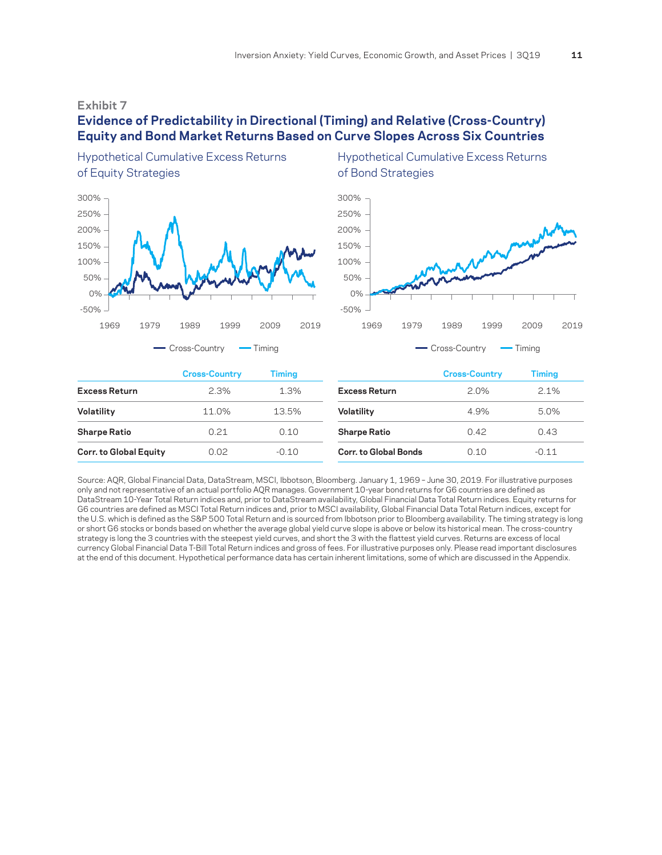#### **Exhibit 7**

### **Evidence of Predictability in Directional (Timing) and Relative (Cross-Country) Equity and Bond Market Returns Based on Curve Slopes Across Six Countries**



Hypothetical Cumulative Excess Returns Hypothetical Cumulative Excess Returns of Equity Strategies of Bond Strategies



|                               | <b>Cross-Country</b> | Timing  |                              | <b>Cross-Country</b> | Timing  |  |
|-------------------------------|----------------------|---------|------------------------------|----------------------|---------|--|
| <b>Excess Return</b>          | 2.3%                 | 1.3%    | <b>Excess Return</b>         | 2.0%                 | 2.1%    |  |
| Volatility                    | 11.0%                | 13.5%   | Volatility                   | 4.9%                 | 5.0%    |  |
| <b>Sharpe Ratio</b>           | 0.21                 | 0.10    | <b>Sharpe Ratio</b>          | 0.42                 | 0.43    |  |
| <b>Corr. to Global Equity</b> | 0.02                 | $-0.10$ | <b>Corr. to Global Bonds</b> | 0.10                 | $-0.11$ |  |

Source: AQR, Global Financial Data, DataStream, MSCI, Ibbotson, Bloomberg. January 1, 1969 – June 30, 2019. For illustrative purposes only and not representative of an actual portfolio AQR manages. Government 10-year bond returns for G6 countries are defined as DataStream 10-Year Total Return indices and, prior to DataStream availability, Global Financial Data Total Return indices. Equity returns for G6 countries are defined as MSCI Total Return indices and, prior to MSCI availability, Global Financial Data Total Return indices, except for the U.S. which is defined as the S&P 500 Total Return and is sourced from Ibbotson prior to Bloomberg availability. The timing strategy is long or short G6 stocks or bonds based on whether the average global yield curve slope is above or below its historical mean. The cross-country strategy is long the 3 countries with the steepest yield curves, and short the 3 with the flattest yield curves. Returns are excess of local currency Global Financial Data T-Bill Total Return indices and gross of fees. For illustrative purposes only. Please read important disclosures at the end of this document. Hypothetical performance data has certain inherent limitations, some of which are discussed in the Appendix.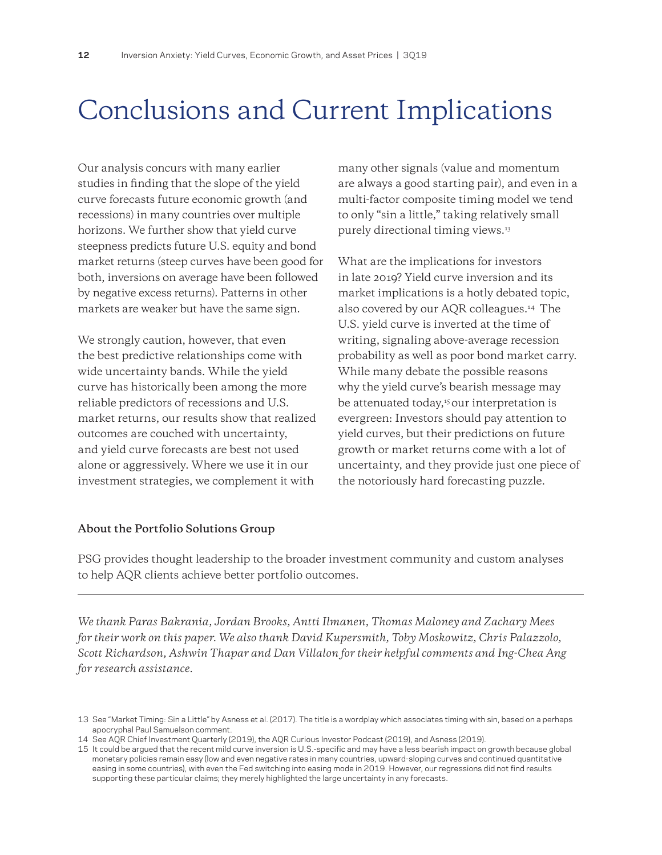# Conclusions and Current Implications

Our analysis concurs with many earlier studies in finding that the slope of the yield curve forecasts future economic growth (and recessions) in many countries over multiple horizons. We further show that yield curve steepness predicts future U.S. equity and bond market returns (steep curves have been good for both, inversions on average have been followed by negative excess returns). Patterns in other markets are weaker but have the same sign.

We strongly caution, however, that even the best predictive relationships come with wide uncertainty bands. While the yield curve has historically been among the more reliable predictors of recessions and U.S. market returns, our results show that realized outcomes are couched with uncertainty, and yield curve forecasts are best not used alone or aggressively. Where we use it in our investment strategies, we complement it with

many other signals (value and momentum are always a good starting pair), and even in a multi-factor composite timing model we tend to only "sin a little," taking relatively small purely directional timing views.13

What are the implications for investors in late 2019? Yield curve inversion and its market implications is a hotly debated topic, also covered by our AQR colleagues.14 The U.S. yield curve is inverted at the time of writing, signaling above-average recession probability as well as poor bond market carry. While many debate the possible reasons why the yield curve's bearish message may be attenuated today,<sup>15</sup> our interpretation is evergreen: Investors should pay attention to yield curves, but their predictions on future growth or market returns come with a lot of uncertainty, and they provide just one piece of the notoriously hard forecasting puzzle.

#### **About the Portfolio Solutions Group**

PSG provides thought leadership to the broader investment community and custom analyses to help AQR clients achieve better portfolio outcomes.

*We thank Paras Bakrania, Jordan Brooks, Antti Ilmanen, Thomas Maloney and Zachary Mees for their work on this paper. We also thank David Kupersmith, Toby Moskowitz, Chris Palazzolo, Scott Richardson, Ashwin Thapar and Dan Villalon for their helpful comments and Ing-Chea Ang for research assistance.*

<sup>13</sup> See "Market Timing: Sin a Little" by Asness et al. (2017). The title is a wordplay which associates timing with sin, based on a perhaps apocryphal Paul Samuelson comment.

<sup>14</sup> See AQR Chief Investment Quarterly (2019), the AQR Curious Investor Podcast (2019), and Asness (2019).

<sup>15</sup> It could be argued that the recent mild curve inversion is U.S.-specific and may have a less bearish impact on growth because global monetary policies remain easy (low and even negative rates in many countries, upward-sloping curves and continued quantitative easing in some countries), with even the Fed switching into easing mode in 2019. However, our regressions did not find results supporting these particular claims; they merely highlighted the large uncertainty in any forecasts.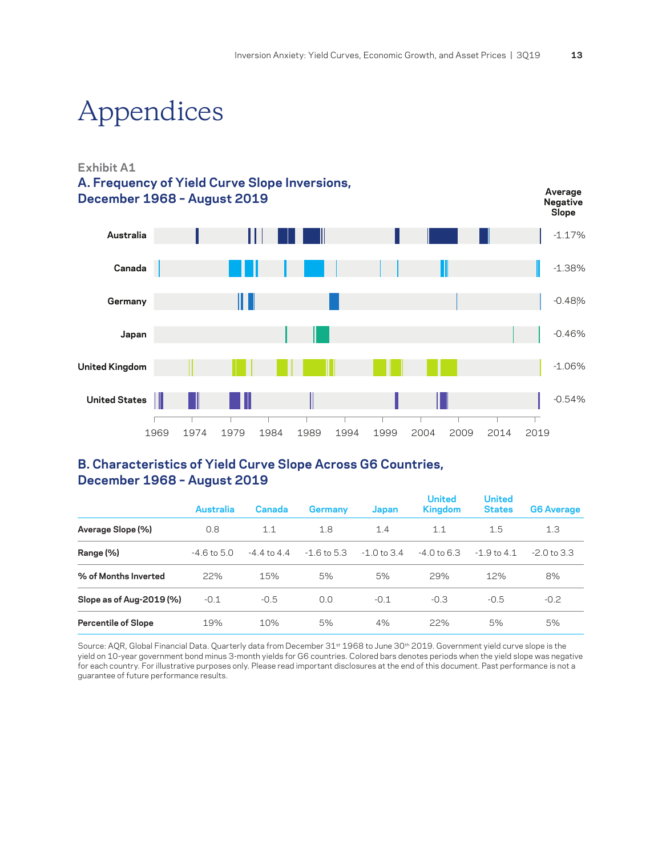**Average** 

# Appendices

### **Exhibit A1 A. Frequency of Yield Curve Slope Inversions, December 1968 – August 2019**



## **B. Characteristics of Yield Curve Slope Across G6 Countries, December 1968 – August 2019**

|                            | Australia       | Canada          | <b>Germany</b> | Japan         | <b>United</b><br><b>Kingdom</b> | <b>United</b><br><b>States</b> | <b>G6 Average</b> |
|----------------------------|-----------------|-----------------|----------------|---------------|---------------------------------|--------------------------------|-------------------|
| Average Slope (%)          | 0.8             | 1.1             | 1.8            | 1.4           | 1.1                             | 1.5                            | 1.3               |
| Range (%)                  | $-4.6$ to $5.0$ | $-4.4$ to $4.4$ | $-1.6$ to 5.3  | $-1.0$ to 3.4 | $-4.0$ to 6.3                   | $-1.9$ to $4.1$                | $-2.0$ to 3.3     |
| % of Months Inverted       | 22%             | 15%             | 5%             | 5%            | 29%                             | 12%                            | 8%                |
| Slope as of Aug-2019 (%)   | $-0.1$          | $-0.5$          | 0.0            | $-0.1$        | $-0.3$                          | $-0.5$                         | $-0.2$            |
| <b>Percentile of Slope</b> | 19%             | 10%             | 5%             | 4%            | 22%                             | 5%                             | 5%                |

Source: AQR, Global Financial Data. Quarterly data from December 31<sup>st</sup> 1968 to June 30<sup>th</sup> 2019. Government yield curve slope is the yield on 10-year government bond minus 3-month yields for G6 countries. Colored bars denotes periods when the yield slope was negative for each country. For illustrative purposes only. Please read important disclosures at the end of this document. Past performance is not a guarantee of future performance results.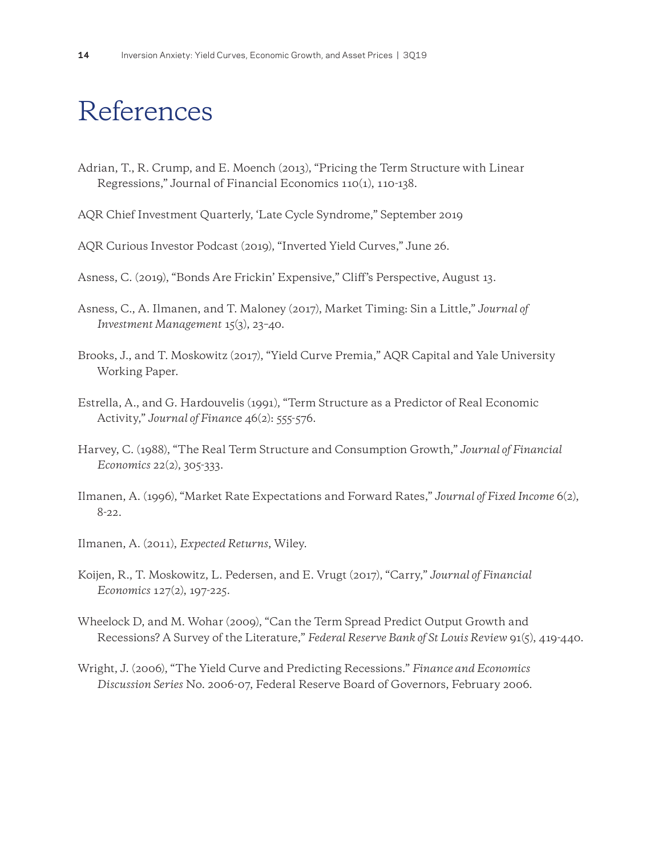# References

- Adrian, T., R. Crump, and E. Moench (2013), "Pricing the Term Structure with Linear Regressions," Journal of Financial Economics 110(1), 110-138.
- AQR Chief Investment Quarterly, 'Late Cycle Syndrome," September 2019
- AQR Curious Investor Podcast (2019), "Inverted Yield Curves," June 26.
- Asness, C. (2019), "Bonds Are Frickin' Expensive," Cliff's Perspective, August 13.
- Asness, C., A. Ilmanen, and T. Maloney (2017), Market Timing: Sin a Little," *Journal of Investment Management* 15(3), 23–40.
- Brooks, J., and T. Moskowitz (2017), "Yield Curve Premia," AQR Capital and Yale University Working Paper.
- Estrella, A., and G. Hardouvelis (1991), "Term Structure as a Predictor of Real Economic Activity," *Journal of Financ*e 46(2): 555-576.
- Harvey, C. (1988), "The Real Term Structure and Consumption Growth," *Journal of Financial Economics* 22(2), 305-333.
- Ilmanen, A. (1996), "Market Rate Expectations and Forward Rates," *Journal of Fixed Income* 6(2), 8-22.
- Ilmanen, A. (2011), *Expected Returns*, Wiley.
- Koijen, R., T. Moskowitz, L. Pedersen, and E. Vrugt (2017), "Carry," *Journal of Financial Economics* 127(2), 197-225.
- Wheelock D, and M. Wohar (2009), "Can the Term Spread Predict Output Growth and Recessions? A Survey of the Literature," *Federal Reserve Bank of St Louis Review* 91(5), 419-440.
- Wright, J. (2006), "The Yield Curve and Predicting Recessions." *Finance and Economics Discussion Series* No. 2006-07, Federal Reserve Board of Governors, February 2006.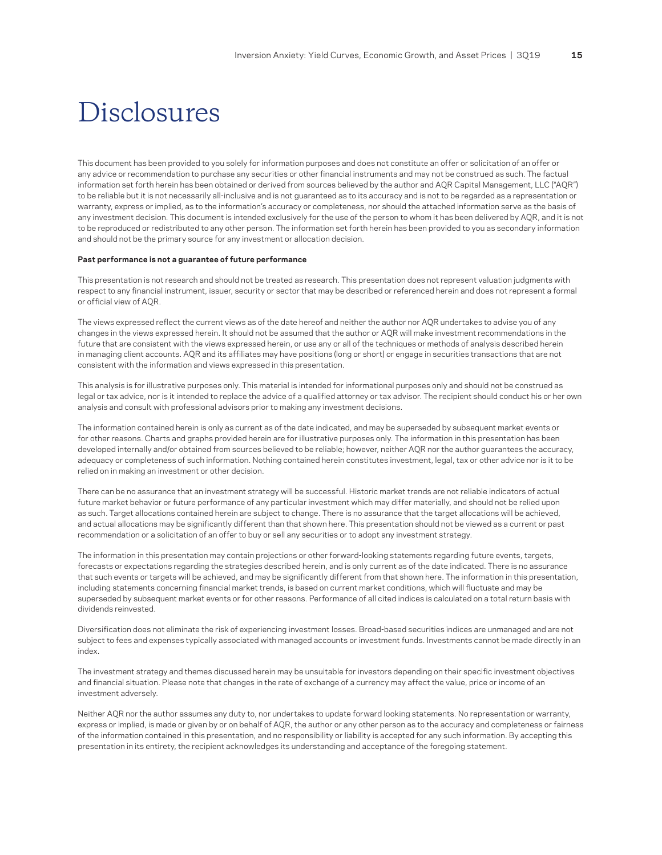# Disclosures

This document has been provided to you solely for information purposes and does not constitute an offer or solicitation of an offer or any advice or recommendation to purchase any securities or other financial instruments and may not be construed as such. The factual information set forth herein has been obtained or derived from sources believed by the author and AQR Capital Management, LLC ("AQR") to be reliable but it is not necessarily all-inclusive and is not guaranteed as to its accuracy and is not to be regarded as a representation or warranty, express or implied, as to the information's accuracy or completeness, nor should the attached information serve as the basis of any investment decision. This document is intended exclusively for the use of the person to whom it has been delivered by AQR, and it is not to be reproduced or redistributed to any other person. The information set forth herein has been provided to you as secondary information and should not be the primary source for any investment or allocation decision.

#### **Past performance is not a guarantee of future performance**

This presentation is not research and should not be treated as research. This presentation does not represent valuation judgments with respect to any financial instrument, issuer, security or sector that may be described or referenced herein and does not represent a formal or official view of AQR.

The views expressed reflect the current views as of the date hereof and neither the author nor AQR undertakes to advise you of any changes in the views expressed herein. It should not be assumed that the author or AQR will make investment recommendations in the future that are consistent with the views expressed herein, or use any or all of the techniques or methods of analysis described herein in managing client accounts. AQR and its affiliates may have positions (long or short) or engage in securities transactions that are not consistent with the information and views expressed in this presentation.

This analysis is for illustrative purposes only. This material is intended for informational purposes only and should not be construed as legal or tax advice, nor is it intended to replace the advice of a qualified attorney or tax advisor. The recipient should conduct his or her own analysis and consult with professional advisors prior to making any investment decisions.

The information contained herein is only as current as of the date indicated, and may be superseded by subsequent market events or for other reasons. Charts and graphs provided herein are for illustrative purposes only. The information in this presentation has been developed internally and/or obtained from sources believed to be reliable; however, neither AQR nor the author guarantees the accuracy, adequacy or completeness of such information. Nothing contained herein constitutes investment, legal, tax or other advice nor is it to be relied on in making an investment or other decision.

There can be no assurance that an investment strategy will be successful. Historic market trends are not reliable indicators of actual future market behavior or future performance of any particular investment which may differ materially, and should not be relied upon as such. Target allocations contained herein are subject to change. There is no assurance that the target allocations will be achieved, and actual allocations may be significantly different than that shown here. This presentation should not be viewed as a current or past recommendation or a solicitation of an offer to buy or sell any securities or to adopt any investment strategy.

The information in this presentation may contain projections or other forward-looking statements regarding future events, targets, forecasts or expectations regarding the strategies described herein, and is only current as of the date indicated. There is no assurance that such events or targets will be achieved, and may be significantly different from that shown here. The information in this presentation, including statements concerning financial market trends, is based on current market conditions, which will fluctuate and may be superseded by subsequent market events or for other reasons. Performance of all cited indices is calculated on a total return basis with dividends reinvested.

Diversification does not eliminate the risk of experiencing investment losses. Broad-based securities indices are unmanaged and are not subject to fees and expenses typically associated with managed accounts or investment funds. Investments cannot be made directly in an index.

The investment strategy and themes discussed herein may be unsuitable for investors depending on their specific investment objectives and financial situation. Please note that changes in the rate of exchange of a currency may affect the value, price or income of an investment adversely.

Neither AQR nor the author assumes any duty to, nor undertakes to update forward looking statements. No representation or warranty, express or implied, is made or given by or on behalf of AQR, the author or any other person as to the accuracy and completeness or fairness of the information contained in this presentation, and no responsibility or liability is accepted for any such information. By accepting this presentation in its entirety, the recipient acknowledges its understanding and acceptance of the foregoing statement.